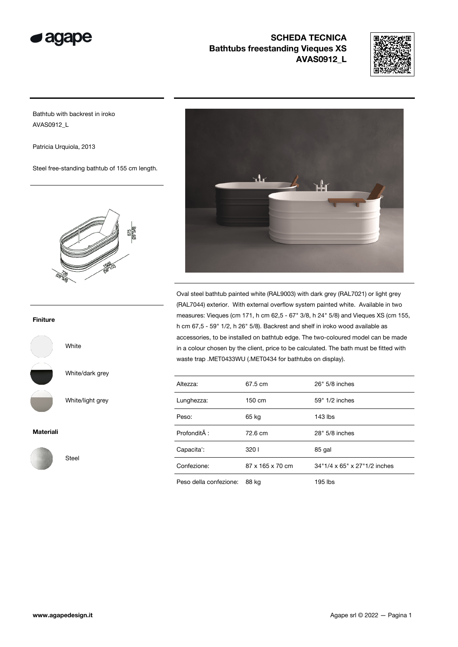



Bathtub with backrest in iroko AVAS0912\_L

Patricia Urquiola, 2013

Steel free-standing bathtub of 155 cm length.



#### Finiture



White/dark grey

White

Steel

White/light grey

#### Materiali





Oval steel bathtub painted white (RAL9003) with dark grey (RAL7021) or light grey (RAL7044) exterior. With external overflow system painted white. Available in two measures: Vieques (cm 171, h cm 62,5 - 67" 3/8, h 24" 5/8) and Vieques XS (cm 155, h cm 67,5 - 59" 1/2, h 26" 5/8). Backrest and shelf in iroko wood available as accessories, to be installed on bathtub edge. The two-coloured model can be made in a colour chosen by the client, price to be calculated. The bath must be fitted with waste trap .MET0433WU (.MET0434 for bathtubs on display).

| Altezza:               | 67.5 cm          | 26" 5/8 inches               |  |
|------------------------|------------------|------------------------------|--|
| Lunghezza:             | $150 \text{ cm}$ | 59" 1/2 inches               |  |
| Peso:                  | 65 kg            | $143$ lbs                    |  |
| Profondità :           | 72.6 cm          | 28" 5/8 inches               |  |
| Capacita':             | 3201             | 85 gal                       |  |
| Confezione:            | 87 x 165 x 70 cm | 34"1/4 x 65" x 27"1/2 inches |  |
| Peso della confezione: | 88 kg            | 195 lbs                      |  |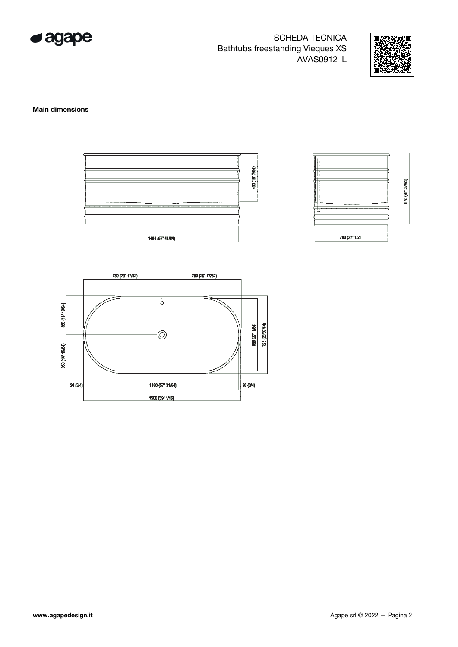



#### **Main dimensions**



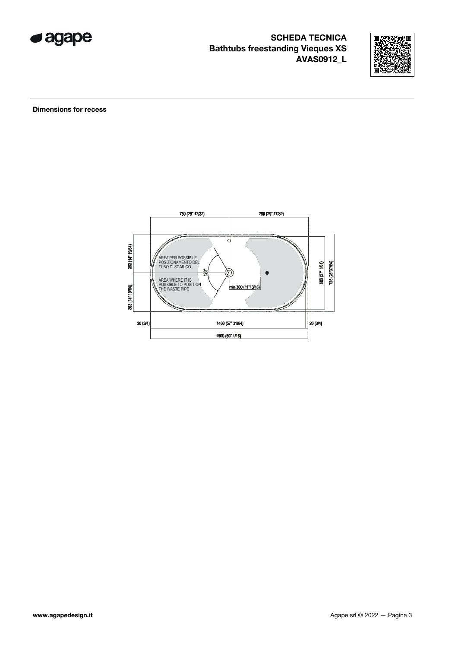



**Dimensions for recess** 

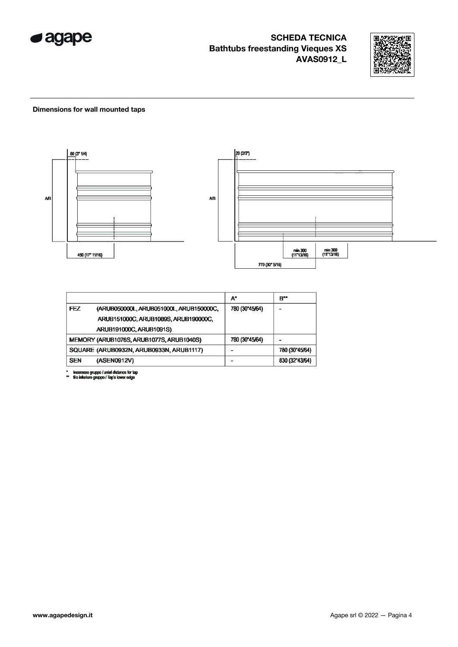



#### Dimensions for wall mounted taps



|            |                                          | A*             | B**            |
|------------|------------------------------------------|----------------|----------------|
| FEZ        | (ARUB050000L, ARUB051000L, ARUB150000C,  | 780 (30"45/64) |                |
|            | ARUB151000C, ARUB1089S, ARUB190000C,     |                |                |
|            | ARUB191000C, ARUB1091S)                  |                |                |
|            | MEMORY (ARUB1076S, ARUB1077S, ARUB1040S) | 780 (30"45/64) |                |
|            | SQUARE (ARUB0932N, ARUB0933N, ARUB1117)  |                | 780 (30"45/64) |
| <b>SEN</b> | (ASEN0912V)                              |                | 830 (32"43/64) |

\* inserasse gruppo / axial distance for tap<br>\*\* filo inferiore gruppo / Tap's lower edge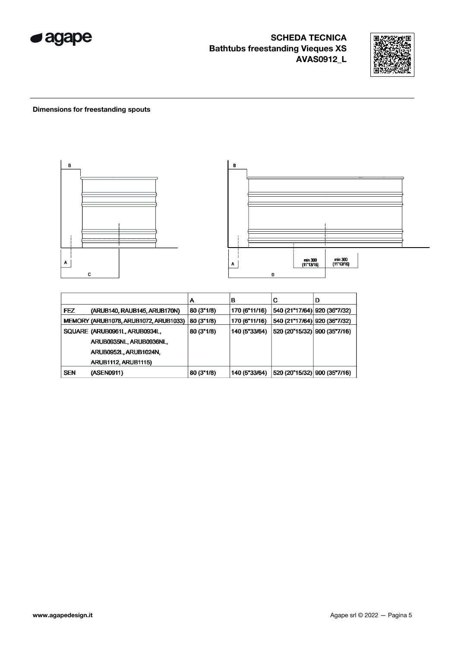



#### **Dimensions for freestanding spouts**



|            |                                       | А          | в             | С                             | D |
|------------|---------------------------------------|------------|---------------|-------------------------------|---|
| <b>FEZ</b> | (ARUB140, RAUB145, ARUB170N)          | 80 (3"1/8) | 170 (6"11/16) | 540 (21"17/64) 920 (36"7/32)  |   |
|            | MEMORY (ARUB1078, ARUB1072, ARUB1033) | 80 (3"1/8) | 170 (6"11/16) | 540 (21"17/64)  920 (36"7/32) |   |
|            | SQUARE (ARUB0961L, ARUB0934L,         | 80 (3"1/8) | 140 (5"33/64) | 520 (20"15/32) 900 (35"7/16)  |   |
|            | ARUB0935NL, ARUB0936NL,               |            |               |                               |   |
|            | ARUB0952L, ARUB1024N,                 |            |               |                               |   |
|            | <b>ARUB1112, ARUB1115)</b>            |            |               |                               |   |
| <b>SEN</b> | (ASEN0911)                            | 80(3"1/8)  | 140 (5"33/64) | 520 (20"15/32) 900 (35"7/16)  |   |